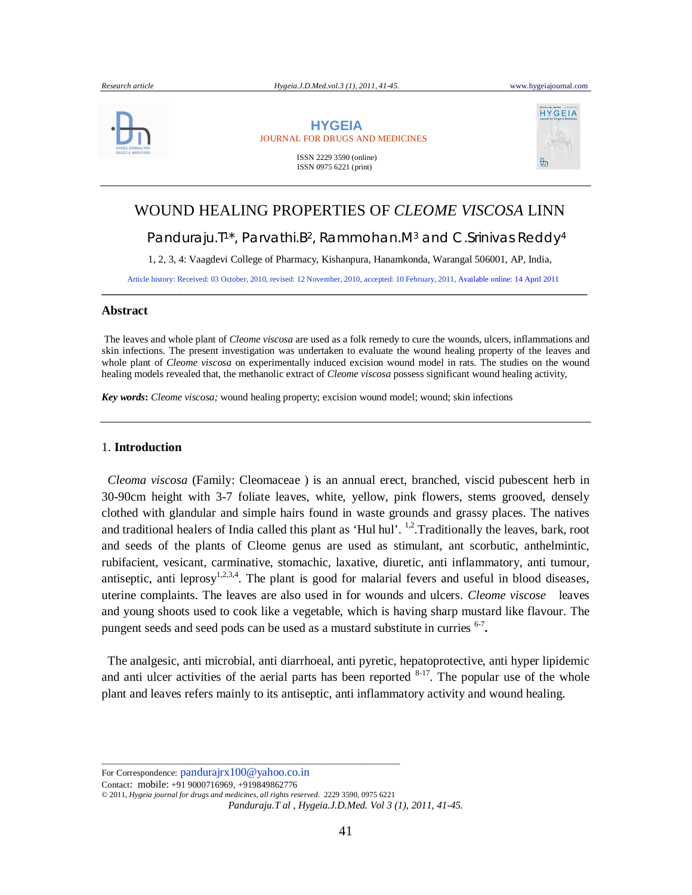

 **HYGEIA** JOURNAL FOR DRUGS AND MEDICINES

> ISSN 2229 3590 (online) ISSN 0975 6221 (print)



# WOUND HEALING PROPERTIES OF *CLEOME VISCOSA* LINN Panduraju.T<sup>1\*</sup>, Parvathi.B<sup>2</sup>, Rammohan.M<sup>3</sup> and C.Srinivas Reddy<sup>4</sup> 1, 2, 3, 4: Vaagdevi College of Pharmacy, Kishanpura, Hanamkonda, Warangal 506001, AP, India, Article history: Received: 03 October, 2010, revised: 12 November, 2010, accepted: 10 February, 2011, Available online: 14 April 2011

## **Abstract**

The leaves and whole plant of *Cleome viscosa* are used as a folk remedy to cure the wounds, ulcers, inflammations and skin infections. The present investigation was undertaken to evaluate the wound healing property of the leaves and whole plant of *Cleome viscosa* on experimentally induced excision wound model in rats. The studies on the wound healing models revealed that, the methanolic extract of *Cleome viscosa* possess significant wound healing activity,

**\_\_\_\_\_\_\_\_\_\_\_\_\_\_\_\_\_\_\_\_\_\_\_\_\_\_\_\_\_\_\_\_\_\_\_\_\_\_\_\_\_\_\_\_\_\_\_\_\_\_\_\_\_\_\_\_\_\_\_\_\_\_\_\_\_\_\_\_\_\_\_\_\_\_\_\_\_\_\_\_\_\_\_\_\_\_**

*Key words***:** *Cleome viscosa;* wound healing property; excision wound model; wound; skin infections

#### 1. **Introduction**

 *Cleoma viscosa* (Family: Cleomaceae ) is an annual erect, branched, viscid pubescent herb in 30-90cm height with 3-7 foliate leaves, white, yellow, pink flowers, stems grooved, densely clothed with glandular and simple hairs found in waste grounds and grassy places. The natives and traditional healers of India called this plant as 'Hul hul'. <sup>1,2</sup>. Traditionally the leaves, bark, root and seeds of the plants of Cleome genus are used as stimulant, ant scorbutic, anthelmintic, rubifacient, vesicant, carminative, stomachic, laxative, diuretic, anti inflammatory, anti tumour, antiseptic, anti leprosy<sup>1,2,3,4</sup>. The plant is good for malarial fevers and useful in blood diseases, uterine complaints. The leaves are also used in for wounds and ulcers. *Cleome viscose* leaves and young shoots used to cook like a vegetable, which is having sharp mustard like flavour. The pungent seeds and seed pods can be used as a mustard substitute in curries <sup>6-7</sup>.

 The analgesic, anti microbial, anti diarrhoeal, anti pyretic, hepatoprotective, anti hyper lipidemic and anti ulcer activities of the aerial parts has been reported  $8-17$ . The popular use of the whole plant and leaves refers mainly to its antiseptic, anti inflammatory activity and wound healing.

For Correspondence: pandurajrx100@yahoo.co.in

Contact: mobile: +91 9000716969, +919849862776

© 2011, *Hygeia journal for drugs and medicines*, *all rights reserved.* 2229 3590, 0975 6221

\_\_\_\_\_\_\_\_\_\_\_\_\_\_\_\_\_\_\_\_\_\_\_\_\_\_\_\_\_\_\_\_\_\_\_\_\_\_\_\_\_\_\_\_\_\_\_\_\_\_\_\_\_\_\_\_\_\_\_\_\_\_\_\_\_\_

*Panduraju.T al , Hygeia.J.D.Med. Vol 3 (1), 2011, 41-45.*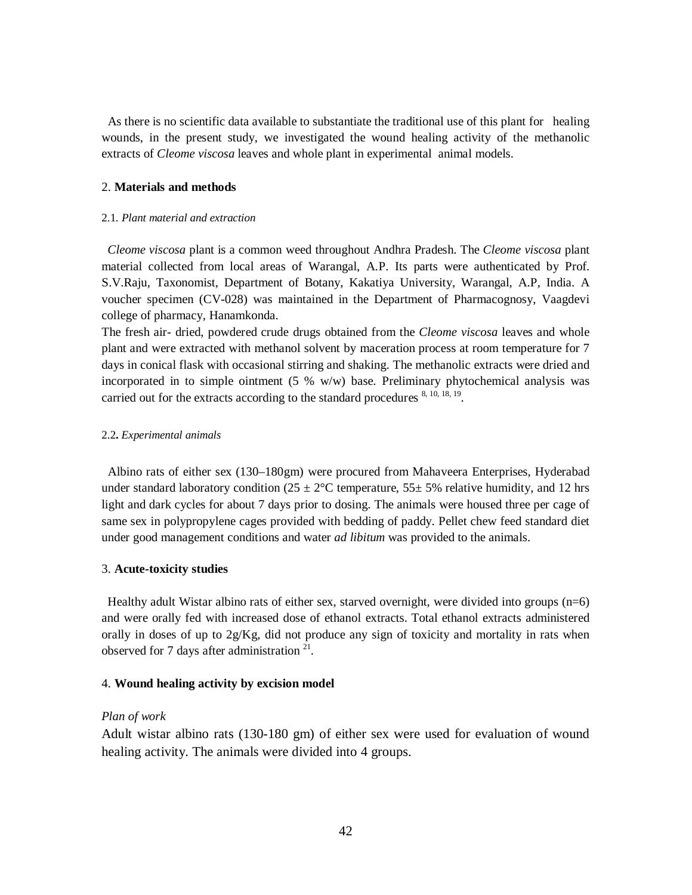As there is no scientific data available to substantiate the traditional use of this plant for healing wounds, in the present study, we investigated the wound healing activity of the methanolic extracts of *Cleome viscosa* leaves and whole plant in experimental animal models.

## 2. **Materials and methods**

# 2.1*. Plant material and extraction*

 *Cleome viscosa* plant is a common weed throughout Andhra Pradesh. The *Cleome viscosa* plant material collected from local areas of Warangal, A.P. Its parts were authenticated by Prof. S.V.Raju, Taxonomist, Department of Botany, Kakatiya University, Warangal, A.P, India. A voucher specimen (CV-028) was maintained in the Department of Pharmacognosy, Vaagdevi college of pharmacy, Hanamkonda.

The fresh air- dried, powdered crude drugs obtained from the *Cleome viscosa* leaves and whole plant and were extracted with methanol solvent by maceration process at room temperature for 7 days in conical flask with occasional stirring and shaking. The methanolic extracts were dried and incorporated in to simple ointment  $(5, % w/w)$  base. Preliminary phytochemical analysis was carried out for the extracts according to the standard procedures  $8, 10, 18, 19$ .

# 2.2**.** *Experimental animals*

 Albino rats of either sex (130–180gm) were procured from Mahaveera Enterprises, Hyderabad under standard laboratory condition ( $25 \pm 2$ °C temperature,  $55 \pm 5$ % relative humidity, and 12 hrs light and dark cycles for about 7 days prior to dosing. The animals were housed three per cage of same sex in polypropylene cages provided with bedding of paddy. Pellet chew feed standard diet under good management conditions and water *ad libitum* was provided to the animals.

#### 3. **Acute-toxicity studies**

 Healthy adult Wistar albino rats of either sex, starved overnight, were divided into groups (n=6) and were orally fed with increased dose of ethanol extracts. Total ethanol extracts administered orally in doses of up to 2g/Kg, did not produce any sign of toxicity and mortality in rats when observed for 7 days after administration  $21$ .

# 4. **Wound healing activity by excision model**

## *Plan of work*

Adult wistar albino rats (130-180 gm) of either sex were used for evaluation of wound healing activity. The animals were divided into 4 groups.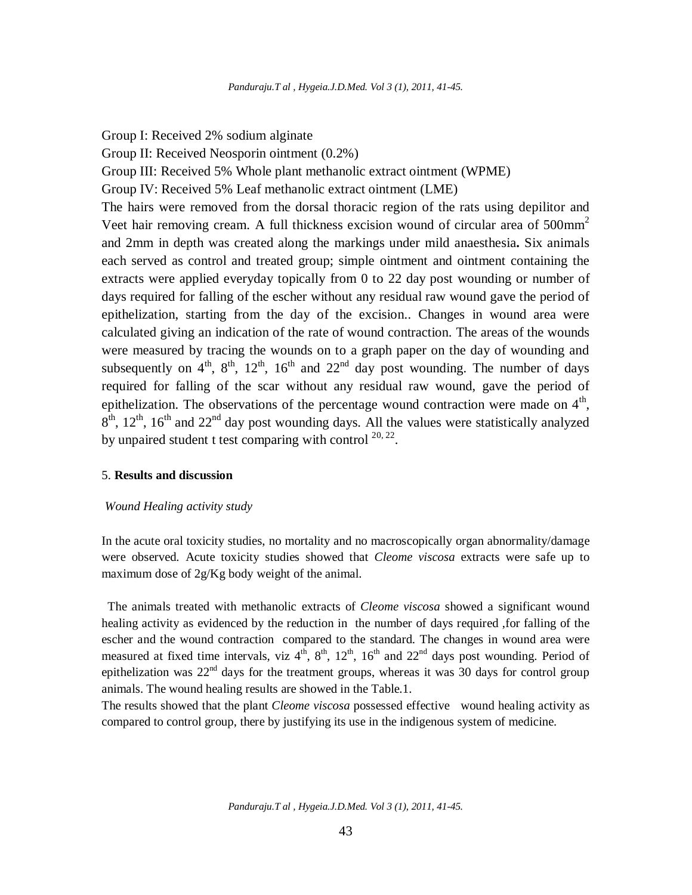Group I: Received 2% sodium alginate Group II: Received Neosporin ointment (0.2%) Group III: Received 5% Whole plant methanolic extract ointment (WPME) Group IV: Received 5% Leaf methanolic extract ointment (LME) The hairs were removed from the dorsal thoracic region of the rats using depilitor and Veet hair removing cream. A full thickness excision wound of circular area of  $500$ mm<sup>2</sup> and 2mm in depth was created along the markings under mild anaesthesia**.** Six animals each served as control and treated group; simple ointment and ointment containing the extracts were applied everyday topically from 0 to 22 day post wounding or number of days required for falling of the escher without any residual raw wound gave the period of epithelization, starting from the day of the excision.. Changes in wound area were calculated giving an indication of the rate of wound contraction. The areas of the wounds were measured by tracing the wounds on to a graph paper on the day of wounding and subsequently on  $4^{\text{th}}$ ,  $8^{\text{th}}$ ,  $12^{\text{th}}$ ,  $16^{\text{th}}$  and  $22^{\text{nd}}$  day post wounding. The number of days required for falling of the scar without any residual raw wound, gave the period of epithelization. The observations of the percentage wound contraction were made on  $4<sup>th</sup>$ ,  $8<sup>th</sup>$ ,  $12<sup>th</sup>$ ,  $16<sup>th</sup>$  and  $22<sup>nd</sup>$  day post wounding days. All the values were statistically analyzed by unpaired student t test comparing with control  $20, 22$ .

# 5. **Results and discussion**

#### *Wound Healing activity study*

In the acute oral toxicity studies, no mortality and no macroscopically organ abnormality/damage were observed. Acute toxicity studies showed that *Cleome viscosa* extracts were safe up to maximum dose of 2g/Kg body weight of the animal.

 The animals treated with methanolic extracts of *Cleome viscosa* showed a significant wound healing activity as evidenced by the reduction in the number of days required ,for falling of the escher and the wound contraction compared to the standard. The changes in wound area were measured at fixed time intervals, viz  $4^{th}$ ,  $8^{th}$ ,  $12^{th}$ ,  $16^{th}$  and  $22^{nd}$  days post wounding. Period of epithelization was  $22<sup>nd</sup>$  days for the treatment groups, whereas it was 30 days for control group animals. The wound healing results are showed in the Table.1.

The results showed that the plant *Cleome viscosa* possessed effective wound healing activity as compared to control group, there by justifying its use in the indigenous system of medicine.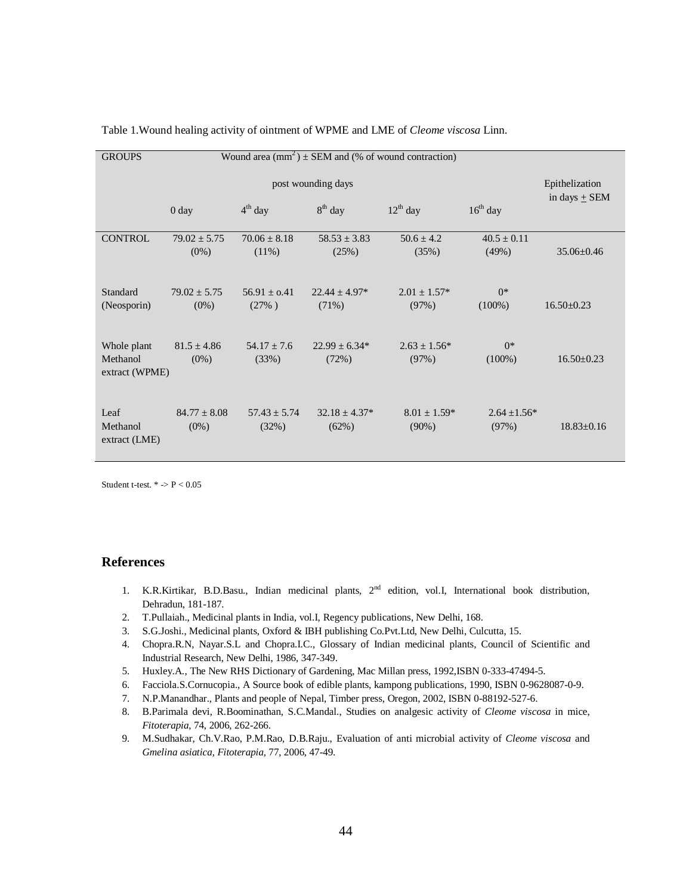| Wound area $(mm^2) \pm SEM$ and (% of wound contraction)<br><b>GROUPS</b> |                                                                             |                           |                               |                              |                          |                                     |
|---------------------------------------------------------------------------|-----------------------------------------------------------------------------|---------------------------|-------------------------------|------------------------------|--------------------------|-------------------------------------|
|                                                                           | post wounding days<br>$12^{th}$ day<br>$16th$ day<br>$4th$ day<br>$8th$ day |                           |                               |                              |                          | Epithelization<br>in days $\pm$ SEM |
|                                                                           | 0 <sub>day</sub>                                                            |                           |                               |                              |                          |                                     |
| <b>CONTROL</b>                                                            | $79.02 \pm 5.75$<br>$(0\%)$                                                 | $70.06 \pm 8.18$<br>(11%) | $58.53 \pm 3.83$<br>(25%)     | $50.6 \pm 4.2$<br>(35%)      | $40.5 \pm 0.11$<br>(49%) | $35.06 \pm 0.46$                    |
| Standard<br>(Neosporin)                                                   | $79.02 + 5.75$<br>$(0\%)$                                                   | $56.91 + 0.41$<br>(27%)   | $22.44 \pm 4.97*$<br>$(71\%)$ | $2.01 \pm 1.57^*$<br>(97%)   | $0^*$<br>$(100\%)$       | $16.50 \pm 0.23$                    |
| Whole plant<br>Methanol<br>extract (WPME)                                 | $81.5 \pm 4.86$<br>$(0\%)$                                                  | $54.17 + 7.6$<br>(33%)    | $22.99 \pm 6.34*$<br>(72%)    | $2.63 \pm 1.56^*$<br>(97%)   | $0^*$<br>$(100\%)$       | $16.50 \pm 0.23$                    |
| Leaf<br>Methanol<br>extract (LME)                                         | $84.77 + 8.08$<br>$(0\%)$                                                   | $57.43 \pm 5.74$<br>(32%) | $32.18 + 4.37*$<br>(62%)      | $8.01 \pm 1.59*$<br>$(90\%)$ | $2.64 + 1.56*$<br>(97%)  | $18.83 \pm 0.16$                    |

Table 1.Wound healing activity of ointment of WPME and LME of *Cleome viscosa* Linn.

Student t-test.  $*$  ->  $P$  < 0.05

# **References**

- 1. K.R.Kirtikar, B.D.Basu., Indian medicinal plants, 2<sup>nd</sup> edition, vol.I, International book distribution, Dehradun, 181-187.
- 2. T.Pullaiah., Medicinal plants in India, vol.I, Regency publications, New Delhi, 168.
- 3. S.G.Joshi., Medicinal plants, Oxford & IBH publishing Co.Pvt.Ltd, New Delhi, Culcutta, 15.
- 4. Chopra.R.N, Nayar.S.L and Chopra.I.C., Glossary of Indian medicinal plants, Council of Scientific and Industrial Research, New Delhi, 1986, 347-349.
- 5. Huxley.A., The New RHS Dictionary of Gardening, Mac Millan press, 1992,ISBN 0-333-47494-5.
- 6. Facciola.S.Cornucopia., A Source book of edible plants, kampong publications, 1990, ISBN 0-9628087-0-9.
- 7. N.P.Manandhar., Plants and people of Nepal, Timber press, Oregon, 2002, ISBN 0-88192-527-6.
- 8. B.Parimala devi, R.Boominathan, S.C.Mandal., Studies on analgesic activity of *Cleome viscosa* in mice, *Fitoterapia*, 74, 2006, 262-266.
- 9. M.Sudhakar, Ch.V.Rao, P.M.Rao, D.B.Raju., Evaluation of anti microbial activity of *Cleome viscosa* and *Gmelina asiatica, Fitoterapia,* 77, 2006, 47-49.